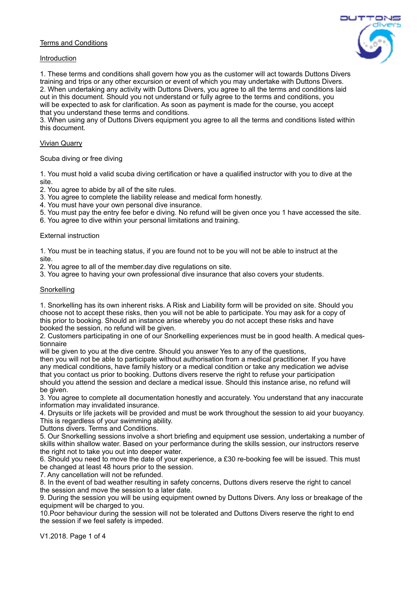# Terms and Conditions

#### Introduction

1. These terms and conditions shall govern how you as the customer will act towards Duttons Divers training and trips or any other excursion or event of which you may undertake with Duttons Divers. 2. When undertaking any activity with Duttons Divers, you agree to all the terms and conditions laid out in this document. Should you not understand or fully agree to the terms and conditions, you will be expected to ask for clarification. As soon as payment is made for the course, you accept that you understand these terms and conditions.

3. When using any of Duttons Divers equipment you agree to all the terms and conditions listed within this document.

## Vivian Quarry

Scuba diving or free diving

1. You must hold a valid scuba diving certification or have a qualified instructor with you to dive at the site.

2. You agree to abide by all of the site rules.

3. You agree to complete the liability release and medical form honestly.

- 4. You must have your own personal dive insurance.
- 5. You must pay the entry fee befor e diving. No refund will be given once you 1 have accessed the site.
- 6. You agree to dive within your personal limitations and training.

### External instruction

1. You must be in teaching status, if you are found not to be you will not be able to instruct at the site.

2. You agree to all of the member.day dive regulations on site.

3. You agree to having your own professional dive insurance that also covers your students.

#### **Snorkelling**

1. Snorkelling has its own inherent risks. A Risk and Liability form will be provided on site. Should you choose not to accept these risks, then you will not be able to participate. You may ask for a copy of this prior to booking. Should an instance arise whereby you do not accept these risks and have booked the session, no refund will be given.

2. Customers participating in one of our Snorkelling experiences must be in good health. A medical questionnaire

will be given to you at the dive centre. Should you answer Yes to any of the questions, then you will not be able to participate without authorisation from a medical practitioner. If you have any medical conditions, have family history or a medical condition or take any medication we advise that you contact us prior to booking. Duttons divers reserve the right to refuse your participation should you attend the session and declare a medical issue. Should this instance arise, no refund will be given.

3. You agree to complete all documentation honestly and accurately. You understand that any inaccurate information may invalidated insurance.

4. Drysuits or life jackets will be provided and must be work throughout the session to aid your buoyancy. This is regardless of your swimming ability.

Duttons divers. Terms and Conditions.

5. Our Snorkelling sessions involve a short briefing and equipment use session, undertaking a number of skills within shallow water. Based on your performance during the skills session, our instructors reserve the right not to take you out into deeper water.

6. Should you need to move the date of your experience, a £30 re-booking fee will be issued. This must be changed at least 48 hours prior to the session.

7. Any cancellation will not be refunded.

8. In the event of bad weather resulting in safety concerns, Duttons divers reserve the right to cancel the session and move the session to a later date.

9. During the session you will be using equipment owned by Duttons Divers. Any loss or breakage of the equipment will be charged to you.

10.Poor behaviour during the session will not be tolerated and Duttons Divers reserve the right to end the session if we feel safety is impeded.

V1.2018. Page 1 of 4

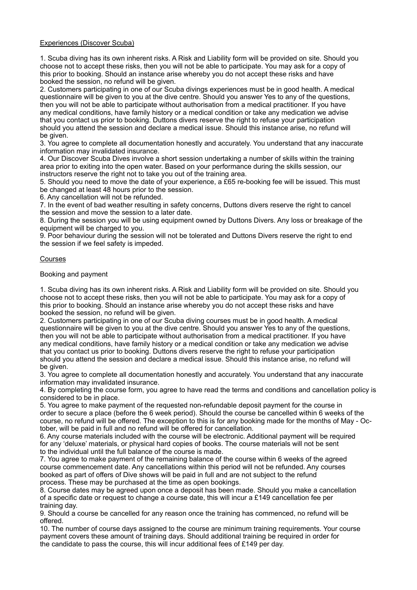## Experiences (Discover Scuba)

1. Scuba diving has its own inherent risks. A Risk and Liability form will be provided on site. Should you choose not to accept these risks, then you will not be able to participate. You may ask for a copy of this prior to booking. Should an instance arise whereby you do not accept these risks and have booked the session, no refund will be given.

2. Customers participating in one of our Scuba divings experiences must be in good health. A medical questionnaire will be given to you at the dive centre. Should you answer Yes to any of the questions, then you will not be able to participate without authorisation from a medical practitioner. If you have any medical conditions, have family history or a medical condition or take any medication we advise that you contact us prior to booking. Duttons divers reserve the right to refuse your participation should you attend the session and declare a medical issue. Should this instance arise, no refund will be given.

3. You agree to complete all documentation honestly and accurately. You understand that any inaccurate information may invalidated insurance.

4. Our Discover Scuba Dives involve a short session undertaking a number of skills within the training area prior to exiting into the open water. Based on your performance during the skills session, our instructors reserve the right not to take you out of the training area.

5. Should you need to move the date of your experience, a £65 re-booking fee will be issued. This must be changed at least 48 hours prior to the session.

6. Any cancellation will not be refunded.

7. In the event of bad weather resulting in safety concerns, Duttons divers reserve the right to cancel the session and move the session to a later date.

8. During the session you will be using equipment owned by Duttons Divers. Any loss or breakage of the equipment will be charged to you.

9. Poor behaviour during the session will not be tolerated and Duttons Divers reserve the right to end the session if we feel safety is impeded.

### Courses

Booking and payment

1. Scuba diving has its own inherent risks. A Risk and Liability form will be provided on site. Should you choose not to accept these risks, then you will not be able to participate. You may ask for a copy of this prior to booking. Should an instance arise whereby you do not accept these risks and have booked the session, no refund will be given.

2. Customers participating in one of our Scuba diving courses must be in good health. A medical questionnaire will be given to you at the dive centre. Should you answer Yes to any of the questions, then you will not be able to participate without authorisation from a medical practitioner. If you have any medical conditions, have family history or a medical condition or take any medication we advise that you contact us prior to booking. Duttons divers reserve the right to refuse your participation should you attend the session and declare a medical issue. Should this instance arise, no refund will be given.

3. You agree to complete all documentation honestly and accurately. You understand that any inaccurate information may invalidated insurance.

4. By completing the course form, you agree to have read the terms and conditions and cancellation policy is considered to be in place.

5. You agree to make payment of the requested non-refundable deposit payment for the course in order to secure a place (before the 6 week period). Should the course be cancelled within 6 weeks of the course, no refund will be offered. The exception to this is for any booking made for the months of May - October, will be paid in full and no refund will be offered for cancellation.

6. Any course materials included with the course will be electronic. Additional payment will be required for any 'deluxe' materials, or physical hard copies of books. The course materials will not be sent to the individual until the full balance of the course is made.

7. You agree to make payment of the remaining balance of the course within 6 weeks of the agreed course commencement date. Any cancellations within this period will not be refunded. Any courses booked as part of offers of Dive shows will be paid in full and are not subject to the refund process. These may be purchased at the time as open bookings.

8. Course dates may be agreed upon once a deposit has been made. Should you make a cancellation of a specific date or request to change a course date, this will incur a £149 cancellation fee per training day.

9. Should a course be cancelled for any reason once the training has commenced, no refund will be offered.

10. The number of course days assigned to the course are minimum training requirements. Your course payment covers these amount of training days. Should additional training be required in order for the candidate to pass the course, this will incur additional fees of £149 per day.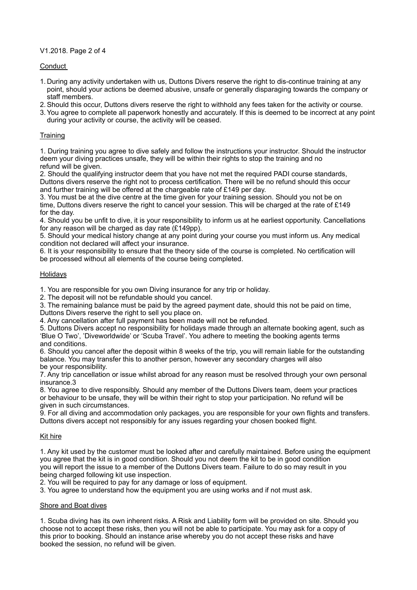V1.2018. Page 2 of 4

Conduct

- 1. During any activity undertaken with us, Duttons Divers reserve the right to dis-continue training at any point, should your actions be deemed abusive, unsafe or generally disparaging towards the company or staff members.
- 2.Should this occur, Duttons divers reserve the right to withhold any fees taken for the activity or course.
- 3.You agree to complete all paperwork honestly and accurately. If this is deemed to be incorrect at any point during your activity or course, the activity will be ceased.

# **Training**

1. During training you agree to dive safely and follow the instructions your instructor. Should the instructor deem your diving practices unsafe, they will be within their rights to stop the training and no refund will be given.

2. Should the qualifying instructor deem that you have not met the required PADI course standards, Duttons divers reserve the right not to process certification. There will be no refund should this occur and further training will be offered at the chargeable rate of £149 per day.

3. You must be at the dive centre at the time given for your training session. Should you not be on time, Duttons divers reserve the right to cancel your session. This will be charged at the rate of £149 for the day.

4. Should you be unfit to dive, it is your responsibility to inform us at he earliest opportunity. Cancellations for any reason will be charged as day rate (£149pp).

5. Should your medical history change at any point during your course you must inform us. Any medical condition not declared will affect your insurance.

6. It is your responsibility to ensure that the theory side of the course is completed. No certification will be processed without all elements of the course being completed.

## Holidays

1. You are responsible for you own Diving insurance for any trip or holiday.

2. The deposit will not be refundable should you cancel.

3. The remaining balance must be paid by the agreed payment date, should this not be paid on time, Duttons Divers reserve the right to sell you place on.

4. Any cancellation after full payment has been made will not be refunded.

5. Duttons Divers accept no responsibility for holidays made through an alternate booking agent, such as 'Blue O Two', 'Diveworldwide' or 'Scuba Travel'. You adhere to meeting the booking agents terms and conditions.

6. Should you cancel after the deposit within 8 weeks of the trip, you will remain liable for the outstanding balance. You may transfer this to another person, however any secondary charges will also be your responsibility.

7. Any trip cancellation or issue whilst abroad for any reason must be resolved through your own personal insurance.3

8. You agree to dive responsibly. Should any member of the Duttons Divers team, deem your practices or behaviour to be unsafe, they will be within their right to stop your participation. No refund will be given in such circumstances.

9. For all diving and accommodation only packages, you are responsible for your own flights and transfers. Duttons divers accept not responsibly for any issues regarding your chosen booked flight.

# Kit hire

1. Any kit used by the customer must be looked after and carefully maintained. Before using the equipment you agree that the kit is in good condition. Should you not deem the kit to be in good condition you will report the issue to a member of the Duttons Divers team. Failure to do so may result in you being charged following kit use inspection.

2. You will be required to pay for any damage or loss of equipment.

3. You agree to understand how the equipment you are using works and if not must ask.

### Shore and Boat dives

1. Scuba diving has its own inherent risks. A Risk and Liability form will be provided on site. Should you choose not to accept these risks, then you will not be able to participate. You may ask for a copy of this prior to booking. Should an instance arise whereby you do not accept these risks and have booked the session, no refund will be given.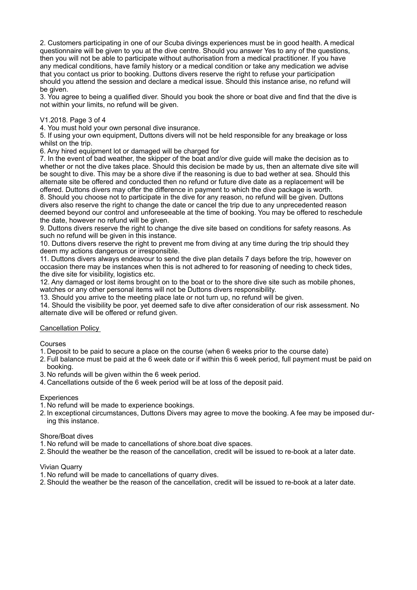2. Customers participating in one of our Scuba divings experiences must be in good health. A medical questionnaire will be given to you at the dive centre. Should you answer Yes to any of the questions, then you will not be able to participate without authorisation from a medical practitioner. If you have any medical conditions, have family history or a medical condition or take any medication we advise that you contact us prior to booking. Duttons divers reserve the right to refuse your participation should you attend the session and declare a medical issue. Should this instance arise, no refund will be given.

3. You agree to being a qualified diver. Should you book the shore or boat dive and find that the dive is not within your limits, no refund will be given.

## V1.2018. Page 3 of 4

4. You must hold your own personal dive insurance.

5. If using your own equipment, Duttons divers will not be held responsible for any breakage or loss whilst on the trip.

6. Any hired equipment lot or damaged will be charged for

7. In the event of bad weather, the skipper of the boat and/or dive guide will make the decision as to whether or not the dive takes place. Should this decision be made by us, then an alternate dive site will be sought to dive. This may be a shore dive if the reasoning is due to bad wether at sea. Should this alternate site be offered and conducted then no refund or future dive date as a replacement will be offered. Duttons divers may offer the difference in payment to which the dive package is worth. 8. Should you choose not to participate in the dive for any reason, no refund will be given. Duttons divers also reserve the right to change the date or cancel the trip due to any unprecedented reason deemed beyond our control and unforeseeable at the time of booking. You may be offered to reschedule the date, however no refund will be given.

9. Duttons divers reserve the right to change the dive site based on conditions for safety reasons. As such no refund will be given in this instance.

10. Duttons divers reserve the right to prevent me from diving at any time during the trip should they deem my actions dangerous or irresponsible.

11. Duttons divers always endeavour to send the dive plan details 7 days before the trip, however on occasion there may be instances when this is not adhered to for reasoning of needing to check tides, the dive site for visibility, logistics etc.

12. Any damaged or lost items brought on to the boat or to the shore dive site such as mobile phones, watches or any other personal items will not be Duttons divers responsibility.

13. Should you arrive to the meeting place late or not turn up, no refund will be given.

14. Should the visibility be poor, yet deemed safe to dive after consideration of our risk assessment. No alternate dive will be offered or refund given.

### Cancellation Policy

Courses

1. Deposit to be paid to secure a place on the course (when 6 weeks prior to the course date)

2. Full balance must be paid at the 6 week date or if within this 6 week period, full payment must be paid on booking.

3. No refunds will be given within the 6 week period.

4. Cancellations outside of the 6 week period will be at loss of the deposit paid.

### **Experiences**

- 1. No refund will be made to experience bookings.
- 2. In exceptional circumstances, Duttons Divers may agree to move the booking. A fee may be imposed during this instance.

### Shore/Boat dives

- 1. No refund will be made to cancellations of shore.boat dive spaces.
- 2.Should the weather be the reason of the cancellation, credit will be issued to re-book at a later date.

### Vivian Quarry

- 1. No refund will be made to cancellations of quarry dives.
- 2.Should the weather be the reason of the cancellation, credit will be issued to re-book at a later date.